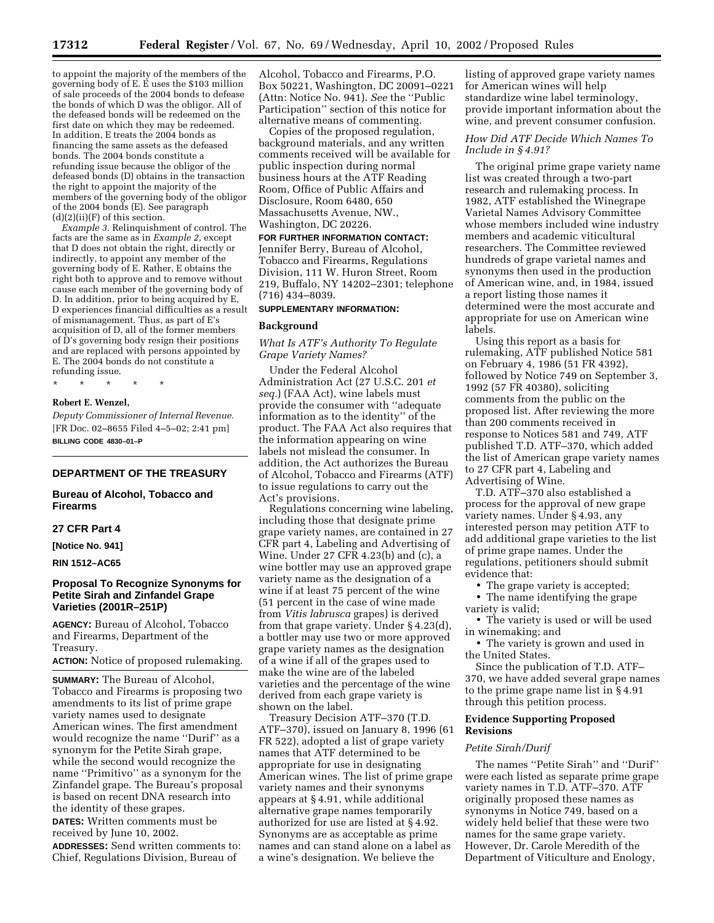to appoint the majority of the members of the governing body of E. E uses the \$103 million of sale proceeds of the 2004 bonds to defease the bonds of which D was the obligor. All of the defeased bonds will be redeemed on the first date on which they may be redeemed. In addition, E treats the 2004 bonds as financing the same assets as the defeased bonds. The 2004 bonds constitute a refunding issue because the obligor of the defeased bonds (D) obtains in the transaction the right to appoint the majority of the members of the governing body of the obligor of the 2004 bonds (E). See paragraph  $(d)(2)(ii)(F)$  of this section.

*Example 3.* Relinquishment of control. The facts are the same as in *Example 2,* except that D does not obtain the right, directly or indirectly, to appoint any member of the governing body of E. Rather, E obtains the right both to approve and to remove without cause each member of the governing body of D. In addition, prior to being acquired by E. D experiences financial difficulties as a result of mismanagement. Thus, as part of E's acquisition of D, all of the former members of D's governing body resign their positions and are replaced with persons appointed by E. The 2004 bonds do not constitute a refunding issue.

\* \* \* \* \*

# **Robert E. Wenzel,**

*Deputy Commissioner of Internal Revenue.* [FR Doc. 02–8655 Filed 4–5–02; 2:41 pm] **BILLING CODE 4830–01–P**

# **DEPARTMENT OF THE TREASURY**

### **Bureau of Alcohol, Tobacco and Firearms**

### **27 CFR Part 4**

**[Notice No. 941]**

### **RIN 1512–AC65**

# **Proposal To Recognize Synonyms for Petite Sirah and Zinfandel Grape Varieties (2001R–251P)**

**AGENCY:** Bureau of Alcohol, Tobacco and Firearms, Department of the Treasury.

**ACTION:** Notice of proposed rulemaking.

**SUMMARY:** The Bureau of Alcohol, Tobacco and Firearms is proposing two amendments to its list of prime grape variety names used to designate American wines. The first amendment would recognize the name ''Durif'' as a synonym for the Petite Sirah grape, while the second would recognize the name ''Primitivo'' as a synonym for the Zinfandel grape. The Bureau's proposal is based on recent DNA research into the identity of these grapes. **DATES:** Written comments must be received by June 10, 2002.

**ADDRESSES:** Send written comments to: Chief, Regulations Division, Bureau of

Alcohol, Tobacco and Firearms, P.O. Box 50221, Washington, DC 20091–0221 (Attn: Notice No. 941). *See* the ''Public Participation'' section of this notice for alternative means of commenting.

Copies of the proposed regulation, background materials, and any written comments received will be available for public inspection during normal business hours at the ATF Reading Room, Office of Public Affairs and Disclosure, Room 6480, 650 Massachusetts Avenue, NW., Washington, DC 20226.

**FOR FURTHER INFORMATION CONTACT:** Jennifer Berry, Bureau of Alcohol, Tobacco and Firearms, Regulations Division, 111 W. Huron Street, Room 219, Buffalo, NY 14202–2301; telephone (716) 434–8039.

# **SUPPLEMENTARY INFORMATION:**

# **Background**

## *What Is ATF's Authority To Regulate Grape Variety Names?*

Under the Federal Alcohol Administration Act (27 U.S.C. 201 *et seq.*) (FAA Act), wine labels must provide the consumer with ''adequate information as to the identity'' of the product. The FAA Act also requires that the information appearing on wine labels not mislead the consumer. In addition, the Act authorizes the Bureau of Alcohol, Tobacco and Firearms (ATF) to issue regulations to carry out the Act's provisions.

Regulations concerning wine labeling, including those that designate prime grape variety names, are contained in 27 CFR part 4, Labeling and Advertising of Wine. Under 27 CFR 4.23(b) and (c), a wine bottler may use an approved grape variety name as the designation of a wine if at least 75 percent of the wine (51 percent in the case of wine made from *Vitis labrusca* grapes) is derived from that grape variety. Under § 4.23(d), a bottler may use two or more approved grape variety names as the designation of a wine if all of the grapes used to make the wine are of the labeled varieties and the percentage of the wine derived from each grape variety is shown on the label.

Treasury Decision ATF–370 (T.D. ATF–370), issued on January 8, 1996 (61 FR 522), adopted a list of grape variety names that ATF determined to be appropriate for use in designating American wines. The list of prime grape variety names and their synonyms appears at § 4.91, while additional alternative grape names temporarily authorized for use are listed at § 4.92. Synonyms are as acceptable as prime names and can stand alone on a label as a wine's designation. We believe the

listing of approved grape variety names for American wines will help standardize wine label terminology, provide important information about the wine, and prevent consumer confusion.

# *How Did ATF Decide Which Names To Include in § 4.91?*

The original prime grape variety name list was created through a two-part research and rulemaking process. In 1982, ATF established the Winegrape Varietal Names Advisory Committee whose members included wine industry members and academic viticultural researchers. The Committee reviewed hundreds of grape varietal names and synonyms then used in the production of American wine, and, in 1984, issued a report listing those names it determined were the most accurate and appropriate for use on American wine labels.

Using this report as a basis for rulemaking, ATF published Notice 581 on February 4, 1986 (51 FR 4392), followed by Notice 749 on September 3, 1992 (57 FR 40380), soliciting comments from the public on the proposed list. After reviewing the more than 200 comments received in response to Notices 581 and 749, ATF published T.D. ATF–370, which added the list of American grape variety names to 27 CFR part 4, Labeling and Advertising of Wine.

T.D. ATF–370 also established a process for the approval of new grape variety names. Under § 4.93, any interested person may petition ATF to add additional grape varieties to the list of prime grape names. Under the regulations, petitioners should submit evidence that:

• The grape variety is accepted;

• The name identifying the grape variety is valid;

• The variety is used or will be used in winemaking; and

• The variety is grown and used in the United States.

Since the publication of T.D. ATF– 370, we have added several grape names to the prime grape name list in § 4.91 through this petition process.

# **Evidence Supporting Proposed Revisions**

# *Petite Sirah/Durif*

The names ''Petite Sirah'' and ''Durif'' were each listed as separate prime grape variety names in T.D. ATF–370. ATF originally proposed these names as synonyms in Notice 749, based on a widely held belief that these were two names for the same grape variety. However, Dr. Carole Meredith of the Department of Viticulture and Enology,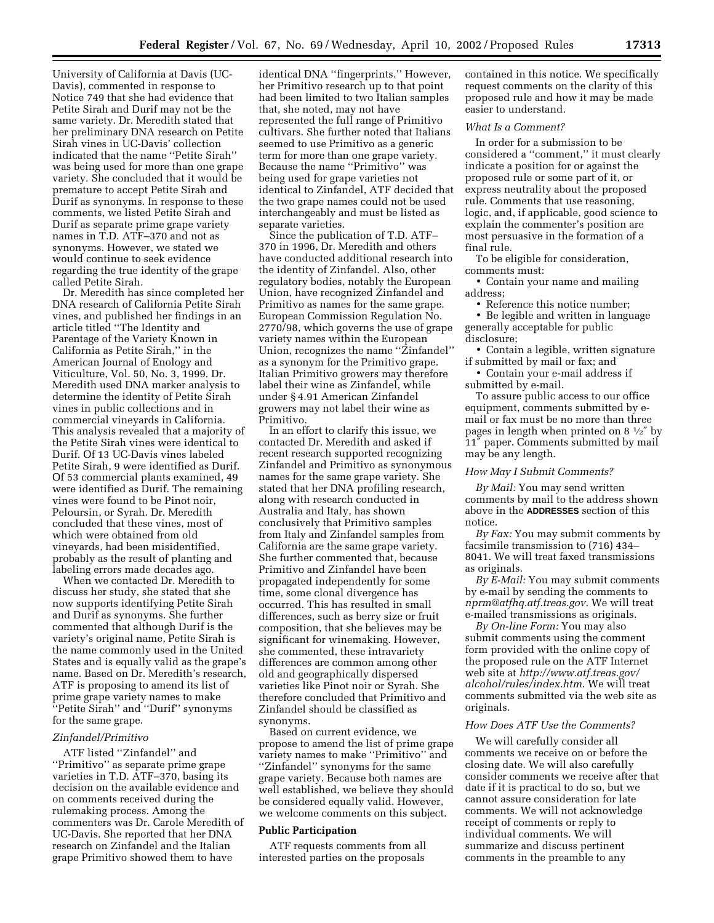University of California at Davis (UC-Davis), commented in response to Notice 749 that she had evidence that Petite Sirah and Durif may not be the same variety. Dr. Meredith stated that her preliminary DNA research on Petite Sirah vines in UC-Davis' collection indicated that the name ''Petite Sirah'' was being used for more than one grape variety. She concluded that it would be premature to accept Petite Sirah and Durif as synonyms. In response to these comments, we listed Petite Sirah and Durif as separate prime grape variety names in T.D. ATF–370 and not as synonyms. However, we stated we would continue to seek evidence regarding the true identity of the grape called Petite Sirah.

Dr. Meredith has since completed her DNA research of California Petite Sirah vines, and published her findings in an article titled ''The Identity and Parentage of the Variety Known in California as Petite Sirah,'' in the American Journal of Enology and Viticulture, Vol. 50, No. 3, 1999. Dr. Meredith used DNA marker analysis to determine the identity of Petite Sirah vines in public collections and in commercial vineyards in California. This analysis revealed that a majority of the Petite Sirah vines were identical to Durif. Of 13 UC-Davis vines labeled Petite Sirah, 9 were identified as Durif. Of 53 commercial plants examined, 49 were identified as Durif. The remaining vines were found to be Pinot noir, Peloursin, or Syrah. Dr. Meredith concluded that these vines, most of which were obtained from old vineyards, had been misidentified, probably as the result of planting and labeling errors made decades ago.

When we contacted Dr. Meredith to discuss her study, she stated that she now supports identifying Petite Sirah and Durif as synonyms. She further commented that although Durif is the variety's original name, Petite Sirah is the name commonly used in the United States and is equally valid as the grape's name. Based on Dr. Meredith's research, ATF is proposing to amend its list of prime grape variety names to make ''Petite Sirah'' and ''Durif'' synonyms for the same grape.

### *Zinfandel/Primitivo*

ATF listed ''Zinfandel'' and ''Primitivo'' as separate prime grape varieties in T.D. ATF–370, basing its decision on the available evidence and on comments received during the rulemaking process. Among the commenters was Dr. Carole Meredith of UC-Davis. She reported that her DNA research on Zinfandel and the Italian grape Primitivo showed them to have

identical DNA ''fingerprints.'' However, her Primitivo research up to that point had been limited to two Italian samples that, she noted, may not have represented the full range of Primitivo cultivars. She further noted that Italians seemed to use Primitivo as a generic term for more than one grape variety. Because the name ''Primitivo'' was being used for grape varieties not identical to Zinfandel, ATF decided that the two grape names could not be used interchangeably and must be listed as separate varieties.

Since the publication of T.D. ATF– 370 in 1996, Dr. Meredith and others have conducted additional research into the identity of Zinfandel. Also, other regulatory bodies, notably the European Union, have recognized Zinfandel and Primitivo as names for the same grape. European Commission Regulation No. 2770/98, which governs the use of grape variety names within the European Union, recognizes the name ''Zinfandel'' as a synonym for the Primitivo grape. Italian Primitivo growers may therefore label their wine as Zinfandel, while under § 4.91 American Zinfandel growers may not label their wine as Primitivo.

In an effort to clarify this issue, we contacted Dr. Meredith and asked if recent research supported recognizing Zinfandel and Primitivo as synonymous names for the same grape variety. She stated that her DNA profiling research, along with research conducted in Australia and Italy, has shown conclusively that Primitivo samples from Italy and Zinfandel samples from California are the same grape variety. She further commented that, because Primitivo and Zinfandel have been propagated independently for some time, some clonal divergence has occurred. This has resulted in small differences, such as berry size or fruit composition, that she believes may be significant for winemaking. However, she commented, these intravariety differences are common among other old and geographically dispersed varieties like Pinot noir or Syrah. She therefore concluded that Primitivo and Zinfandel should be classified as synonyms.

Based on current evidence, we propose to amend the list of prime grape variety names to make ''Primitivo'' and ''Zinfandel'' synonyms for the same grape variety. Because both names are well established, we believe they should be considered equally valid. However, we welcome comments on this subject.

#### **Public Participation**

ATF requests comments from all interested parties on the proposals

contained in this notice. We specifically request comments on the clarity of this proposed rule and how it may be made easier to understand.

# *What Is a Comment?*

In order for a submission to be considered a ''comment,'' it must clearly indicate a position for or against the proposed rule or some part of it, or express neutrality about the proposed rule. Comments that use reasoning, logic, and, if applicable, good science to explain the commenter's position are most persuasive in the formation of a final rule.

To be eligible for consideration, comments must:

• Contain your name and mailing address;

• Reference this notice number;

• Be legible and written in language generally acceptable for public disclosure;

• Contain a legible, written signature if submitted by mail or fax; and

• Contain your e-mail address if submitted by e-mail.

To assure public access to our office equipment, comments submitted by email or fax must be no more than three pages in length when printed on 8 1⁄2″ by 11″ paper. Comments submitted by mail may be any length.

#### *How May I Submit Comments?*

*By Mail:* You may send written comments by mail to the address shown above in the **ADDRESSES** section of this notice.

*By Fax:* You may submit comments by facsimile transmission to (716) 434– 8041. We will treat faxed transmissions as originals.

*By E-Mail:* You may submit comments by e-mail by sending the comments to *nprm@atfhq.atf.treas.gov*. We will treat e-mailed transmissions as originals.

*By On-line Form:* You may also submit comments using the comment form provided with the online copy of the proposed rule on the ATF Internet web site at *http://www.atf.treas.gov/ alcohol/rules/index.htm*. We will treat comments submitted via the web site as originals.

#### *How Does ATF Use the Comments?*

We will carefully consider all comments we receive on or before the closing date. We will also carefully consider comments we receive after that date if it is practical to do so, but we cannot assure consideration for late comments. We will not acknowledge receipt of comments or reply to individual comments. We will summarize and discuss pertinent comments in the preamble to any